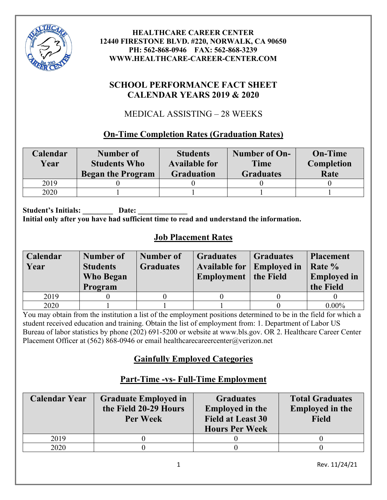

### **SCHOOL PERFORMANCE FACT SHEET CALENDAR YEARS 2019 & 2020**

# MEDICAL ASSISTING – 28 WEEKS

### **On-Time Completion Rates (Graduation Rates)**

| Calendar<br>Year | Number of<br><b>Students Who</b><br><b>Began the Program</b> | <b>Students</b><br><b>Available for</b><br><b>Graduation</b> | Number of On-<br><b>Time</b><br><b>Graduates</b> | <b>On-Time</b><br>Completion<br>Rate |
|------------------|--------------------------------------------------------------|--------------------------------------------------------------|--------------------------------------------------|--------------------------------------|
| 2019             |                                                              |                                                              |                                                  |                                      |
| 2020             |                                                              |                                                              |                                                  |                                      |

Student's Initials: Date: **Initial only after you have had sufficient time to read and understand the information.**

# **Job Placement Rates**

| Calendar | Number of       | Number of        | <b>Graduates</b>     | <b>Graduates</b>   | <b>Placement</b>   |
|----------|-----------------|------------------|----------------------|--------------------|--------------------|
| Year     | <b>Students</b> | <b>Graduates</b> | <b>Available for</b> | <b>Employed in</b> | Rate %             |
|          | Who Began       |                  | <b>Employment</b>    | the Field          | <b>Employed in</b> |
|          | Program         |                  |                      |                    | the Field          |
| 2019     |                 |                  |                      |                    |                    |
| 2020     |                 |                  |                      |                    | $0.00\%$           |

You may obtain from the institution a list of the employment positions determined to be in the field for which a student received education and training. Obtain the list of employment from: 1. Department of Labor US Bureau of labor statistics by phone (202) 691-5200 or website at www.bls.gov. OR 2. Healthcare Career Center Placement Officer at (562) 868-0946 or email healthcarecareercenter@verizon.net

# **Gainfully Employed Categories**

#### **Calendar Year Graduate Employed in the Field 20-29 Hours Per Week Graduates Employed in the Field at Least 30 Hours Per Week Total Graduates Employed in the Field** 2019 0 0 0 0 2020 0 0 0 0

# **Part-Time -vs- Full-Time Employment**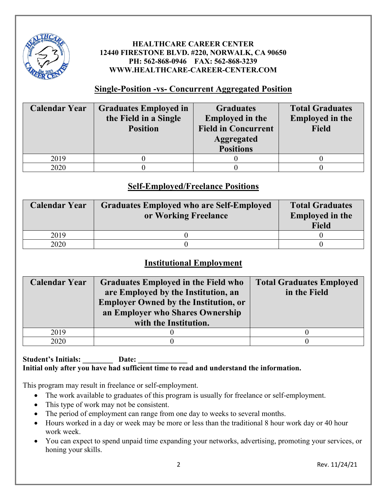

#### **Single-Position -vs- Concurrent Aggregated Position**

| <b>Calendar Year</b> | <b>Graduates Employed in</b><br>the Field in a Single<br><b>Position</b> | <b>Graduates</b><br><b>Employed in the</b><br><b>Field in Concurrent</b><br><b>Aggregated</b><br><b>Positions</b> | <b>Total Graduates</b><br><b>Employed in the</b><br><b>Field</b> |
|----------------------|--------------------------------------------------------------------------|-------------------------------------------------------------------------------------------------------------------|------------------------------------------------------------------|
| 2019                 |                                                                          |                                                                                                                   |                                                                  |
| 2020                 |                                                                          |                                                                                                                   |                                                                  |

### **Self-Employed/Freelance Positions**

| <b>Calendar Year</b> | <b>Graduates Employed who are Self-Employed</b><br>or Working Freelance | <b>Total Graduates</b><br><b>Employed in the</b><br><b>Field</b> |
|----------------------|-------------------------------------------------------------------------|------------------------------------------------------------------|
| 2019                 |                                                                         |                                                                  |
| 2020                 |                                                                         |                                                                  |

### **Institutional Employment**

| <b>Calendar Year</b> | <b>Graduates Employed in the Field who</b><br>are Employed by the Institution, an<br><b>Employer Owned by the Institution, or</b><br>an Employer who Shares Ownership<br>with the Institution. | <b>Total Graduates Employed</b><br>in the Field |
|----------------------|------------------------------------------------------------------------------------------------------------------------------------------------------------------------------------------------|-------------------------------------------------|
| 2019                 |                                                                                                                                                                                                |                                                 |
| 2020                 |                                                                                                                                                                                                |                                                 |

#### Student's Initials: Date: **Initial only after you have had sufficient time to read and understand the information.**

This program may result in freelance or self-employment.

- The work available to graduates of this program is usually for freelance or self-employment.
- This type of work may not be consistent.
- The period of employment can range from one day to weeks to several months.
- Hours worked in a day or week may be more or less than the traditional 8 hour work day or 40 hour work week.
- You can expect to spend unpaid time expanding your networks, advertising, promoting your services, or honing your skills.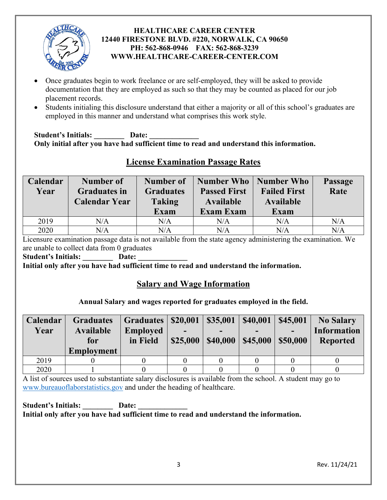

- Once graduates begin to work freelance or are self-employed, they will be asked to provide documentation that they are employed as such so that they may be counted as placed for our job placement records.
- Students initialing this disclosure understand that either a majority or all of this school's graduates are employed in this manner and understand what comprises this work style.

Student's Initials: Date: **Only initial after you have had sufficient time to read and understand this information.** 

| Calendar | <b>Number of</b>     | Number of        | Number Who   Number Who |                     | <b>Passage</b> |
|----------|----------------------|------------------|-------------------------|---------------------|----------------|
| Year     | <b>Graduates in</b>  | <b>Graduates</b> | <b>Passed First</b>     | <b>Failed First</b> | Rate           |
|          | <b>Calendar Year</b> | <b>Taking</b>    | <b>Available</b>        | <b>Available</b>    |                |
|          |                      | <b>Exam</b>      | <b>Exam Exam</b>        | Exam                |                |
| 2019     | N/A                  | N/A              | N/A                     | N/A                 | N/A            |
| 2020     | N/A                  | N/A              | $\rm N/A$               | N/A                 | N/A            |

### **License Examination Passage Rates**

Licensure examination passage data is not available from the state agency administering the examination. We are unable to collect data from 0 graduates

Student's Initials: Date:

**Initial only after you have had sufficient time to read and understand the information.** 

#### **Salary and Wage Information**

#### **Annual Salary and wages reported for graduates employed in the field.**

| <b>Calendar</b> | <b>Graduates</b>  | <b>Graduates</b> | \$20,001 | \$35,001 | \$40,001 | \$45,001 | <b>No Salary</b>   |
|-----------------|-------------------|------------------|----------|----------|----------|----------|--------------------|
| Year            | <b>Available</b>  | <b>Employed</b>  |          | -        |          |          | <b>Information</b> |
|                 | for               | in Field         | \$25,000 | \$40,000 | \$45,000 | \$50,000 | <b>Reported</b>    |
|                 | <b>Employment</b> |                  |          |          |          |          |                    |
| 2019            |                   |                  |          |          |          |          |                    |
| 2020            |                   |                  |          |          |          |          |                    |

A list of sources used to substantiate salary disclosures is available from the school. A student may go to [www.bureauoflaborstatistics.gov](http://www.bureauoflaborstatistics.gov/) and under the heading of healthcare.

Student's Initials: Date: **Initial only after you have had sufficient time to read and understand the information.**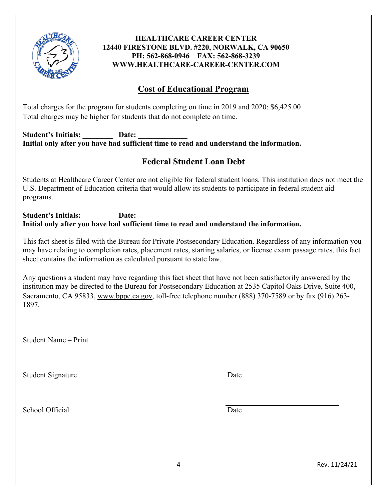

### **Cost of Educational Program**

Total charges for the program for students completing on time in 2019 and 2020: \$6,425.00 Total charges may be higher for students that do not complete on time.

#### Student's Initials: Date: **Initial only after you have had sufficient time to read and understand the information.**

### **Federal Student Loan Debt**

Students at Healthcare Career Center are not eligible for federal student loans. This institution does not meet the U.S. Department of Education criteria that would allow its students to participate in federal student aid programs.

#### Student's Initials: Date: **Initial only after you have had sufficient time to read and understand the information.**

This fact sheet is filed with the Bureau for Private Postsecondary Education. Regardless of any information you may have relating to completion rates, placement rates, starting salaries, or license exam passage rates, this fact sheet contains the information as calculated pursuant to state law.

Any questions a student may have regarding this fact sheet that have not been satisfactorily answered by the institution may be directed to the Bureau for Postsecondary Education at 2535 Capitol Oaks Drive, Suite 400, Sacramento, CA 95833, [www.bppe.ca.gov,](http://www.bppe.ca.gov/) toll-free telephone number (888) 370-7589 or by fax (916) 263- 1897.

Student Name – Print

Student Signature Date

School Official Date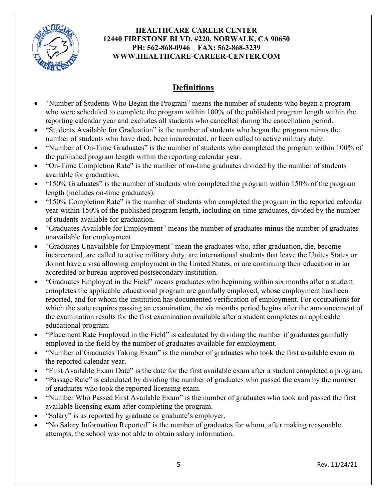

# **Definitions**

- "Number of Students Who Began the Program" means the number of students who began a program who were scheduled to complete the program within 100% of the published program length within the reporting calendar year and excludes all students who cancelled during the cancellation period.
- "Students Available for Graduation" is the number of students who began the program minus the number of students who have died, been incarcerated, or been called to active military duty.
- "Number of On-Time Graduates" is the number of students who completed the program within 100% of the published program length within the reporting calendar year.
- "On-Time Completion Rate" is the number of on-time graduates divided by the number of students available for graduation.
- "150% Graduates" is the number of students who completed the program within 150% of the program length (includes on-time graduates).
- "150% Completion Rate" is the number of students who completed the program in the reported calendar year within 150% of the published program length, including on-time graduates, divided by the number of students available for graduation.
- "Graduates Available for Employment" means the number of graduates minus the number of graduates unavailable for employment.
- "Graduates Unavailable for Employment" mean the graduates who, after graduation, die, become incarcerated, are called to active military duty, are international students that leave the Unites States or do not have a visa allowing employment in the United States, or are continuing their education in an accredited or bureau-approved postsecondary institution.
- "Graduates Employed in the Field" means graduates who beginning within six months after a student completes the applicable educational program are gainfully employed, whose employment has been reported, and for whom the institution has documented verification of employment. For occupations for which the state requires passing an examination, the six months period begins after the announcement of the examination results for the first examination available after a student completes an applicable educational program.
- "Placement Rate Employed in the Field" is calculated by dividing the number if graduates gainfully employed in the field by the number of graduates available for employment.
- "Number of Graduates Taking Exam" is the number of graduates who took the first available exam in the reported calendar year.
- "First Available Exam Date" is the date for the first available exam after a student completed a program.
- "Passage Rate" is calculated by dividing the number of graduates who passed the exam by the number of graduates who took the reported licensing exam.
- "Number Who Passed First Available Exam" is the number of graduates who took and passed the first available licensing exam after completing the program.
- "Salary" is as reported by graduate or graduate's employer.
- "No Salary Information Reported" is the number of graduates for whom, after making reasonable attempts, the school was not able to obtain salary information.